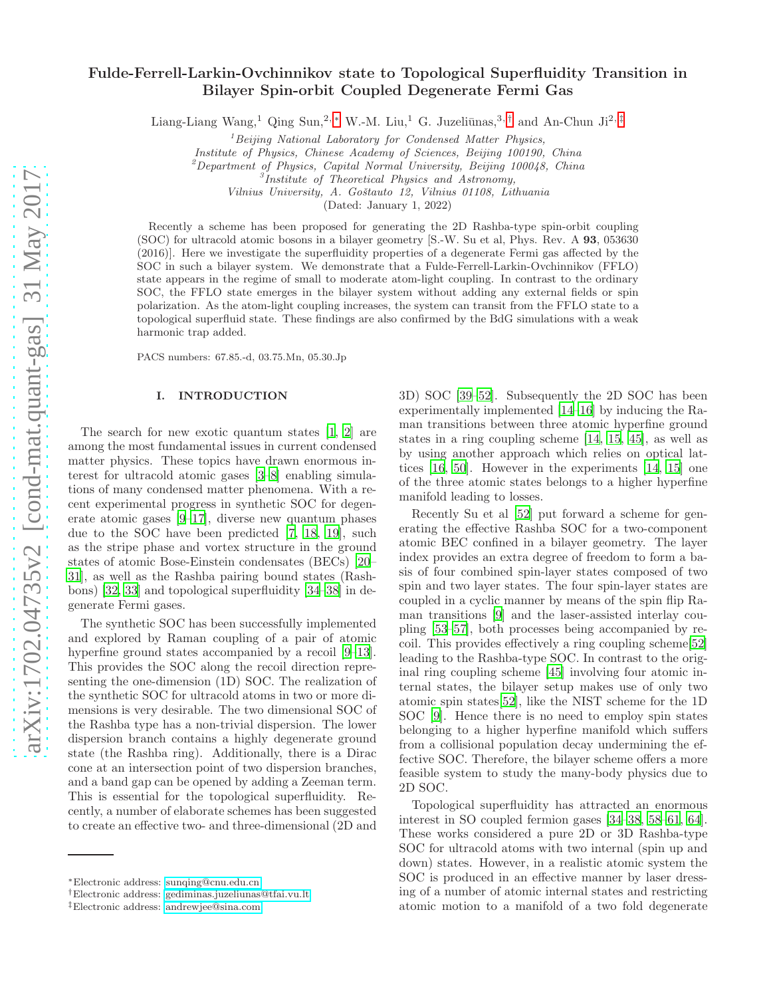# Fulde-Ferrell-Larkin-Ovchinnikov state to Topological Superfluidity Transition in Bilayer Spin-orbit Coupled Degenerate Fermi Gas

Liang-Liang Wang,<sup>1</sup> Qing Sun,<sup>2,\*</sup> W.-M. Liu,<sup>1</sup> G. Juzeliūnas,<sup>3,[†](#page-0-1)</sup> and An-Chun Ji<sup>2,[‡](#page-0-2)</sup>

<sup>1</sup>*Beijing National Laboratory for Condensed Matter Physics,*

*Institute of Physics, Chinese Academy of Sciences, Beijing 100190, China*

<sup>2</sup>*Department of Physics, Capital Normal University, Beijing 100048, China*

*Vilnius University, A. Goˇstauto 12, Vilnius 01108, Lithuania*

(Dated: January 1, 2022)

Recently a scheme has been proposed for generating the 2D Rashba-type spin-orbit coupling (SOC) for ultracold atomic bosons in a bilayer geometry [S.-W. Su et al, Phys. Rev. A 93, 053630 (2016)]. Here we investigate the superfluidity properties of a degenerate Fermi gas affected by the SOC in such a bilayer system. We demonstrate that a Fulde-Ferrell-Larkin-Ovchinnikov (FFLO) state appears in the regime of small to moderate atom-light coupling. In contrast to the ordinary SOC, the FFLO state emerges in the bilayer system without adding any external fields or spin polarization. As the atom-light coupling increases, the system can transit from the FFLO state to a topological superfluid state. These findings are also confirmed by the BdG simulations with a weak harmonic trap added.

PACS numbers: 67.85.-d, 03.75.Mn, 05.30.Jp

## I. INTRODUCTION

The search for new exotic quantum states [\[1](#page-7-0), [2\]](#page-7-1) are among the most fundamental issues in current condensed matter physics. These topics have drawn enormous interest for ultracold atomic gases [\[3](#page-7-2)[–8\]](#page-7-3) enabling simulations of many condensed matter phenomena. With a recent experimental progress in synthetic SOC for degenerate atomic gases [\[9](#page-7-4)[–17\]](#page-7-5), diverse new quantum phases due to the SOC have been predicted [\[7](#page-7-6), [18,](#page-7-7) [19](#page-7-8)], such as the stripe phase and vortex structure in the ground states of atomic Bose-Einstein condensates (BECs) [\[20](#page-7-9)– [31\]](#page-8-0), as well as the Rashba pairing bound states (Rashbons) [\[32,](#page-8-1) [33](#page-8-2)] and topological superfluidity [\[34](#page-8-3)[–38](#page-8-4)] in degenerate Fermi gases.

The synthetic SOC has been successfully implemented and explored by Raman coupling of a pair of atomic hyperfine ground states accompanied by a recoil [\[9](#page-7-4)[–13\]](#page-7-10). This provides the SOC along the recoil direction representing the one-dimension (1D) SOC. The realization of the synthetic SOC for ultracold atoms in two or more dimensions is very desirable. The two dimensional SOC of the Rashba type has a non-trivial dispersion. The lower dispersion branch contains a highly degenerate ground state (the Rashba ring). Additionally, there is a Dirac cone at an intersection point of two dispersion branches, and a band gap can be opened by adding a Zeeman term. This is essential for the topological superfluidity. Recently, a number of elaborate schemes has been suggested to create an effective two- and three-dimensional (2D and

3D) SOC [\[39](#page-8-5)[–52\]](#page-8-6). Subsequently the 2D SOC has been experimentally implemented [\[14](#page-7-11)[–16\]](#page-7-12) by inducing the Raman transitions between three atomic hyperfine ground states in a ring coupling scheme [\[14,](#page-7-11) [15](#page-7-13), [45\]](#page-8-7), as well as by using another approach which relies on optical lattices [\[16](#page-7-12), [50](#page-8-8)]. However in the experiments [\[14](#page-7-11), [15](#page-7-13)] one of the three atomic states belongs to a higher hyperfine manifold leading to losses.

Recently Su et al [\[52\]](#page-8-6) put forward a scheme for generating the effective Rashba SOC for a two-component atomic BEC confined in a bilayer geometry. The layer index provides an extra degree of freedom to form a basis of four combined spin-layer states composed of two spin and two layer states. The four spin-layer states are coupled in a cyclic manner by means of the spin flip Raman transitions [\[9\]](#page-7-4) and the laser-assisted interlay coupling [\[53](#page-8-9)[–57\]](#page-8-10), both processes being accompanied by recoil. This provides effectively a ring coupling scheme[\[52\]](#page-8-6) leading to the Rashba-type SOC. In contrast to the original ring coupling scheme [\[45\]](#page-8-7) involving four atomic internal states, the bilayer setup makes use of only two atomic spin states[\[52](#page-8-6)], like the NIST scheme for the 1D SOC [\[9](#page-7-4)]. Hence there is no need to employ spin states belonging to a higher hyperfine manifold which suffers from a collisional population decay undermining the effective SOC. Therefore, the bilayer scheme offers a more feasible system to study the many-body physics due to 2D SOC.

Topological superfluidity has attracted an enormous interest in SO coupled fermion gases [\[34](#page-8-3)[–38,](#page-8-4) [58](#page-8-11)[–61](#page-8-12), [64\]](#page-8-13). These works considered a pure 2D or 3D Rashba-type SOC for ultracold atoms with two internal (spin up and down) states. However, in a realistic atomic system the SOC is produced in an effective manner by laser dressing of a number of atomic internal states and restricting atomic motion to a manifold of a two fold degenerate

<sup>3</sup> *Institute of Theoretical Physics and Astronomy,*

<span id="page-0-0"></span><sup>∗</sup>Electronic address: [sunqing@cnu.edu.cn](mailto:sunqing@cnu.edu.cn)

<span id="page-0-1"></span><sup>†</sup>Electronic address: [gediminas.juzeliunas@tfai.vu.lt](mailto:gediminas.juzeliunas@tfai.vu.lt)

<span id="page-0-2"></span><sup>‡</sup>Electronic address: [andrewjee@sina.com](mailto:andrewjee@sina.com)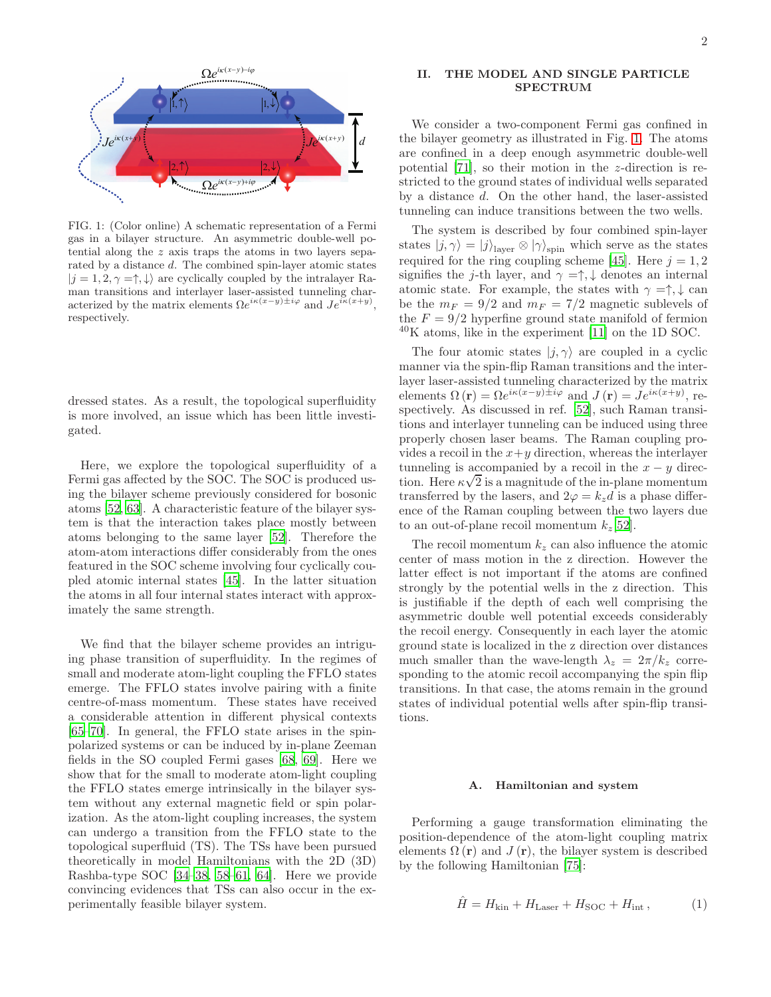

<span id="page-1-0"></span>FIG. 1: (Color online) A schematic representation of a Fermi gas in a bilayer structure. An asymmetric double-well potential along the z axis traps the atoms in two layers separated by a distance d. The combined spin-layer atomic states  $|j = 1, 2, \gamma = \uparrow, \downarrow \rangle$  are cyclically coupled by the intralayer Raman transitions and interlayer laser-assisted tunneling characterized by the matrix elements  $\Omega e^{i\kappa(x-y)\pm i\varphi}$  and  $Je^{i\kappa(x+y)}$ , respectively.

dressed states. As a result, the topological superfluidity is more involved, an issue which has been little investigated.

Here, we explore the topological superfluidity of a Fermi gas affected by the SOC. The SOC is produced using the bilayer scheme previously considered for bosonic atoms [\[52,](#page-8-6) [63\]](#page-8-14). A characteristic feature of the bilayer system is that the interaction takes place mostly between atoms belonging to the same layer [\[52\]](#page-8-6). Therefore the atom-atom interactions differ considerably from the ones featured in the SOC scheme involving four cyclically coupled atomic internal states [\[45](#page-8-7)]. In the latter situation the atoms in all four internal states interact with approximately the same strength.

We find that the bilayer scheme provides an intriguing phase transition of superfluidity. In the regimes of small and moderate atom-light coupling the FFLO states emerge. The FFLO states involve pairing with a finite centre-of-mass momentum. These states have received a considerable attention in different physical contexts [\[65](#page-8-15)[–70\]](#page-8-16). In general, the FFLO state arises in the spinpolarized systems or can be induced by in-plane Zeeman fields in the SO coupled Fermi gases [\[68,](#page-8-17) [69\]](#page-8-18). Here we show that for the small to moderate atom-light coupling the FFLO states emerge intrinsically in the bilayer system without any external magnetic field or spin polarization. As the atom-light coupling increases, the system can undergo a transition from the FFLO state to the topological superfluid (TS). The TSs have been pursued theoretically in model Hamiltonians with the 2D (3D) Rashba-type SOC [\[34](#page-8-3)[–38](#page-8-4), [58](#page-8-11)[–61](#page-8-12), [64](#page-8-13)]. Here we provide convincing evidences that TSs can also occur in the experimentally feasible bilayer system.

### II. THE MODEL AND SINGLE PARTICLE SPECTRUM

We consider a two-component Fermi gas confined in the bilayer geometry as illustrated in Fig. [1.](#page-1-0) The atoms are confined in a deep enough asymmetric double-well potential [\[71](#page-8-19)], so their motion in the z-direction is restricted to the ground states of individual wells separated by a distance d. On the other hand, the laser-assisted tunneling can induce transitions between the two wells.

The system is described by four combined spin-layer states  $|j, \gamma\rangle = |j\rangle_{\text{layer}} \otimes |\gamma\rangle_{\text{spin}}$  which serve as the states required for the ring coupling scheme [\[45\]](#page-8-7). Here  $j = 1, 2$ signifies the j-th layer, and  $\gamma = \uparrow, \downarrow$  denotes an internal atomic state. For example, the states with  $\gamma = \uparrow, \downarrow$  can be the  $m_F = 9/2$  and  $m_F = 7/2$  magnetic sublevels of the  $F = 9/2$  hyperfine ground state manifold of fermion  $^{40}$ K atoms, like in the experiment [\[11](#page-7-14)] on the 1D SOC.

The four atomic states  $|j, \gamma\rangle$  are coupled in a cyclic manner via the spin-flip Raman transitions and the interlayer laser-assisted tunneling characterized by the matrix elements  $\Omega(\mathbf{r}) = \Omega e^{i\kappa(x-y)\pm i\varphi}$  and  $J(\mathbf{r}) = J e^{i\kappa(x+y)}$ , respectively. As discussed in ref. [\[52\]](#page-8-6), such Raman transitions and interlayer tunneling can be induced using three properly chosen laser beams. The Raman coupling provides a recoil in the  $x+y$  direction, whereas the interlayer tunneling is accompanied by a recoil in the  $x - y$  direction. Here  $\kappa\sqrt{2}$  is a magnitude of the in-plane momentum transferred by the lasers, and  $2\varphi = k_z d$  is a phase difference of the Raman coupling between the two layers due to an out-of-plane recoil momentum  $k_z[52]$  $k_z[52]$  $k_z[52]$ .

The recoil momentum  $k_z$  can also influence the atomic center of mass motion in the z direction. However the latter effect is not important if the atoms are confined strongly by the potential wells in the z direction. This is justifiable if the depth of each well comprising the asymmetric double well potential exceeds considerably the recoil energy. Consequently in each layer the atomic ground state is localized in the z direction over distances much smaller than the wave-length  $\lambda_z = 2\pi/k_z$  corresponding to the atomic recoil accompanying the spin flip transitions. In that case, the atoms remain in the ground states of individual potential wells after spin-flip transitions.

#### A. Hamiltonian and system

Performing a gauge transformation eliminating the position-dependence of the atom-light coupling matrix elements  $\Omega(\mathbf{r})$  and  $J(\mathbf{r})$ , the bilayer system is described by the following Hamiltonian [\[75](#page-8-20)]:

<span id="page-1-1"></span>
$$
\hat{H} = H_{\text{kin}} + H_{\text{Laser}} + H_{\text{SOC}} + H_{\text{int}}\,,\tag{1}
$$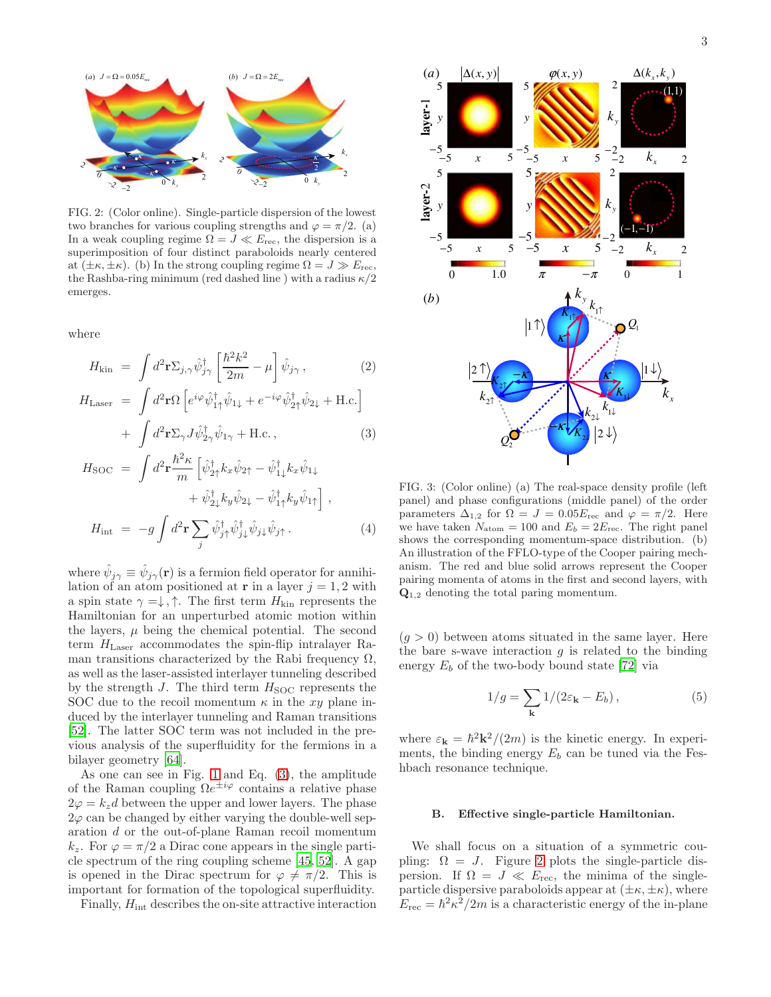

<span id="page-2-1"></span>FIG. 2: (Color online). Single-particle dispersion of the lowest two branches for various coupling strengths and  $\varphi = \pi/2$ . (a) In a weak coupling regime  $\Omega = J \ll E_{\text{rec}}$ , the dispersion is a superimposition of four distinct paraboloids nearly centered at  $(\pm \kappa, \pm \kappa)$ . (b) In the strong coupling regime  $\Omega = J \gg E_{\text{rec}}$ , the Rashba-ring minimum (red dashed line) with a radius  $\kappa/2$ emerges.

where

<span id="page-2-0"></span>
$$
H_{\rm kin} = \int d^2 \mathbf{r} \Sigma_{j,\gamma} \hat{\psi}_{j\gamma}^{\dagger} \left[ \frac{\hbar^2 k^2}{2m} - \mu \right] \hat{\psi}_{j\gamma}, \qquad (2)
$$

$$
H_{\text{Laser}} = \int d^2 \mathbf{r} \Omega \left[ e^{i\varphi} \hat{\psi}_{1\uparrow}^{\dagger} \hat{\psi}_{1\downarrow} + e^{-i\varphi} \hat{\psi}_{2\uparrow}^{\dagger} \hat{\psi}_{2\downarrow} + \text{H.c.} \right] + \int d^2 \mathbf{r} \Sigma_{\gamma} J \hat{\psi}_{2\gamma}^{\dagger} \hat{\psi}_{1\gamma} + \text{H.c.}, \qquad (3)
$$

$$
H_{\text{SOC}} = \int d^2 \mathbf{r} \frac{\hbar^2 \kappa}{m} \left[ \hat{\psi}_{2\uparrow}^{\dagger} k_x \hat{\psi}_{2\uparrow} - \hat{\psi}_{1\downarrow}^{\dagger} k_x \hat{\psi}_{1\downarrow} + \hat{\psi}_{2\downarrow}^{\dagger} k_y \hat{\psi}_{2\downarrow} - \hat{\psi}_{1\uparrow}^{\dagger} k_y \hat{\psi}_{1\uparrow} \right],
$$
  

$$
H_{\text{int}} = -g \int d^2 \mathbf{r} \sum_j \hat{\psi}_{j\uparrow}^{\dagger} \hat{\psi}_{j\downarrow}^{\dagger} \hat{\psi}_{j\downarrow} \hat{\psi}_{j\uparrow}.
$$
 (4)

where  $\hat{\psi}_{j\gamma} \equiv \hat{\psi}_{j\gamma}(\mathbf{r})$  is a fermion field operator for annihilation of an atom positioned at **r** in a layer  $j = 1, 2$  with a spin state  $\gamma = \downarrow, \uparrow$ . The first term  $H_{\text{kin}}$  represents the Hamiltonian for an unperturbed atomic motion within the layers,  $\mu$  being the chemical potential. The second term  $H_{\text{Laser}}$  accommodates the spin-flip intralayer Raman transitions characterized by the Rabi frequency  $\Omega$ , as well as the laser-assisted interlayer tunneling described by the strength  $J$ . The third term  $H_{\text{SOC}}$  represents the SOC due to the recoil momentum  $\kappa$  in the xy plane induced by the interlayer tunneling and Raman transitions [\[52\]](#page-8-6). The latter SOC term was not included in the previous analysis of the superfluidity for the fermions in a bilayer geometry [\[64\]](#page-8-13).

As one can see in Fig. [1](#page-1-0) and Eq. [\(3\)](#page-2-0), the amplitude of the Raman coupling  $\Omega e^{\pm i\varphi}$  contains a relative phase  $2\varphi = k_z d$  between the upper and lower layers. The phase  $2\varphi$  can be changed by either varying the double-well separation d or the out-of-plane Raman recoil momentum  $k_z$ . For  $\varphi = \pi/2$  a Dirac cone appears in the single particle spectrum of the ring coupling scheme [\[45](#page-8-7), [52](#page-8-6)]. A gap is opened in the Dirac spectrum for  $\varphi \neq \pi/2$ . This is important for formation of the topological superfluidity.

Finally,  $H_{\text{int}}$  describes the on-site attractive interaction



<span id="page-2-2"></span>FIG. 3: (Color online) (a) The real-space density profile (left panel) and phase configurations (middle panel) of the order parameters  $\Delta_{1,2}$  for  $\Omega = J = 0.05 E_{\text{rec}}$  and  $\varphi = \pi/2$ . Here we have taken  $N_{\text{atom}} = 100$  and  $E_b = 2E_{\text{rec}}$ . The right panel shows the corresponding momentum-space distribution. (b) An illustration of the FFLO-type of the Cooper pairing mechanism. The red and blue solid arrows represent the Cooper pairing momenta of atoms in the first and second layers, with  $\mathbf{Q}_{1,2}$  denoting the total paring momentum.

 $(g > 0)$  between atoms situated in the same layer. Here the bare s-wave interaction  $g$  is related to the binding energy  $E_b$  of the two-body bound state [\[72\]](#page-8-21) via

$$
1/g = \sum_{\mathbf{k}} 1/(2\varepsilon_{\mathbf{k}} - E_b), \qquad (5)
$$

where  $\varepsilon_{\mathbf{k}} = \hbar^2 \mathbf{k}^2 / (2m)$  is the kinetic energy. In experiments, the binding energy  $E_b$  can be tuned via the Feshbach resonance technique.

### B. Effective single-particle Hamiltonian.

We shall focus on a situation of a symmetric coupling:  $\Omega = J$ . Figure [2](#page-2-1) plots the single-particle dispersion. If  $\Omega = J \ll E_{\text{rec}}$ , the minima of the singleparticle dispersive paraboloids appear at  $(\pm \kappa, \pm \kappa)$ , where  $E_{\text{rec}} = \hbar^2 \kappa^2 / 2m$  is a characteristic energy of the in-plane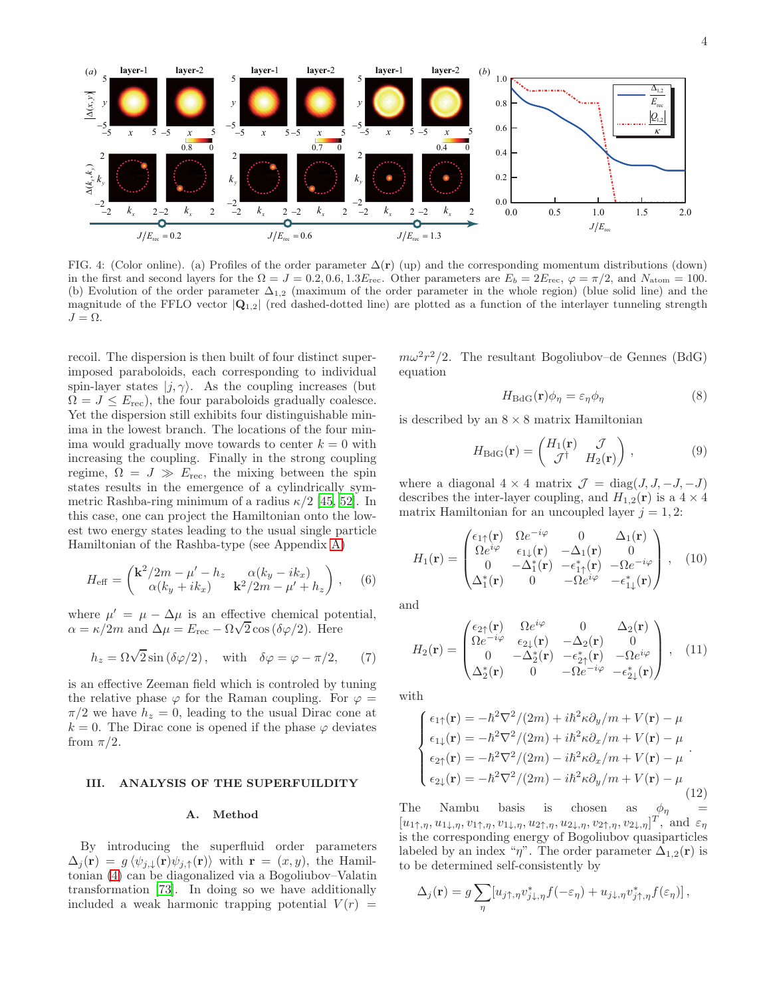

<span id="page-3-0"></span>FIG. 4: (Color online). (a) Profiles of the order parameter  $\Delta(\mathbf{r})$  (up) and the corresponding momentum distributions (down) in the first and second layers for the  $\Omega = J = 0.2, 0.6, 1.3E_{\text{rec}}$ . Other parameters are  $E_b = 2E_{\text{rec}}, \varphi = \pi/2$ , and  $N_{\text{atom}} = 100$ . (b) Evolution of the order parameter  $\Delta_{1,2}$  (maximum of the order parameter in the whole region) (blue solid line) and the magnitude of the FFLO vector  $|{\bf Q}_{1,2}|$  (red dashed-dotted line) are plotted as a function of the interlayer tunneling strength  $J = \Omega$ .

recoil. The dispersion is then built of four distinct superimposed paraboloids, each corresponding to individual spin-layer states  $|j, \gamma\rangle$ . As the coupling increases (but  $\Omega = J \leq E_{\text{rec}}$ , the four paraboloids gradually coalesce. Yet the dispersion still exhibits four distinguishable minima in the lowest branch. The locations of the four minima would gradually move towards to center  $k = 0$  with increasing the coupling. Finally in the strong coupling regime,  $\Omega = J \gg E_{\text{rec}}$ , the mixing between the spin states results in the emergence of a cylindrically symmetric Rashba-ring minimum of a radius  $\kappa/2$  [\[45](#page-8-7), [52](#page-8-6)]. In this case, one can project the Hamiltonian onto the lowest two energy states leading to the usual single particle Hamiltonian of the Rashba-type (see Appendix [A\)](#page-6-0)

$$
H_{\text{eff}} = \begin{pmatrix} \mathbf{k}^2/2m - \mu' - h_z & \alpha(k_y - ik_x) \\ \alpha(k_y + ik_x) & \mathbf{k}^2/2m - \mu' + h_z \end{pmatrix}, \quad (6)
$$

where  $\mu' = \mu - \Delta \mu$  is an effective chemical potential, where  $\mu$   $\mu$   $\mu$   $\mu$  and  $\Delta \mu = E_{\text{rec}} - \Omega \sqrt{2} \cos (\delta \varphi/2)$ . Here

$$
h_z = \Omega \sqrt{2} \sin (\delta \varphi / 2), \quad \text{with} \quad \delta \varphi = \varphi - \pi / 2, \tag{7}
$$

is an effective Zeeman field which is controled by tuning the relative phase  $\varphi$  for the Raman coupling. For  $\varphi =$  $\pi/2$  we have  $h_z = 0$ , leading to the usual Dirac cone at  $k = 0$ . The Dirac cone is opened if the phase  $\varphi$  deviates from  $\pi/2$ .

### III. ANALYSIS OF THE SUPERFUILDITY

#### A. Method

By introducing the superfluid order parameters  $\Delta_j(\mathbf{r}) = g \langle \psi_{j,\downarrow}(\mathbf{r}) \psi_{j,\uparrow}(\mathbf{r}) \rangle$  with  $\mathbf{r} = (x, y)$ , the Hamiltonian [\(4\)](#page-2-0) can be diagonalized via a Bogoliubov–Valatin transformation [\[73](#page-8-22)]. In doing so we have additionally included a weak harmonic trapping potential  $V(r)$  =

 $m\omega^2 r^2/2$ . The resultant Bogoliubov–de Gennes (BdG) equation

<span id="page-3-1"></span>
$$
H_{\text{BdG}}(\mathbf{r})\phi_{\eta} = \varepsilon_{\eta}\phi_{\eta} \tag{8}
$$

is described by an  $8 \times 8$  matrix Hamiltonian

$$
H_{\text{BdG}}(\mathbf{r}) = \begin{pmatrix} H_1(\mathbf{r}) & \mathcal{J} \\ \mathcal{J}^\dagger & H_2(\mathbf{r}) \end{pmatrix},\tag{9}
$$

where a diagonal  $4 \times 4$  matrix  $\mathcal{J} = \text{diag}(J, J, -J, -J)$ describes the inter-layer coupling, and  $H_{1,2}(\mathbf{r})$  is a  $4 \times 4$ matrix Hamiltonian for an uncoupled layer  $j = 1, 2$ :

$$
H_1(\mathbf{r}) = \begin{pmatrix} \epsilon_{1\uparrow}(\mathbf{r}) & \Omega e^{-i\varphi} & 0 & \Delta_1(\mathbf{r}) \\ \Omega e^{i\varphi} & \epsilon_{1\downarrow}(\mathbf{r}) & -\Delta_1(\mathbf{r}) & 0 \\ 0 & -\Delta_1^*(\mathbf{r}) & -\epsilon_{1\uparrow}^*(\mathbf{r}) & -\Omega e^{-i\varphi} \\ \Delta_1^*(\mathbf{r}) & 0 & -\Omega e^{i\varphi} & -\epsilon_{1\downarrow}^*(\mathbf{r}) \end{pmatrix}, \quad (10)
$$

and

$$
H_2(\mathbf{r}) = \begin{pmatrix} \epsilon_{2\uparrow}(\mathbf{r}) & \Omega e^{i\varphi} & 0 & \Delta_2(\mathbf{r}) \\ \Omega e^{-i\varphi} & \epsilon_{2\downarrow}(\mathbf{r}) & -\Delta_2(\mathbf{r}) & 0 \\ 0 & -\Delta_2^*(\mathbf{r}) & -\epsilon_{2\uparrow}^*(\mathbf{r}) & -\Omega e^{i\varphi} \\ \Delta_2^*(\mathbf{r}) & 0 & -\Omega e^{-i\varphi} & -\epsilon_{2\downarrow}^*(\mathbf{r}) \end{pmatrix}, \quad (11)
$$

with

$$
\begin{cases}\n\epsilon_{1\uparrow}(\mathbf{r}) = -\hbar^2 \nabla^2 / (2m) + i\hbar^2 \kappa \partial_y / m + V(\mathbf{r}) - \mu \\
\epsilon_{1\downarrow}(\mathbf{r}) = -\hbar^2 \nabla^2 / (2m) + i\hbar^2 \kappa \partial_x / m + V(\mathbf{r}) - \mu \\
\epsilon_{2\uparrow}(\mathbf{r}) = -\hbar^2 \nabla^2 / (2m) - i\hbar^2 \kappa \partial_x / m + V(\mathbf{r}) - \mu \\
\epsilon_{2\downarrow}(\mathbf{r}) = -\hbar^2 \nabla^2 / (2m) - i\hbar^2 \kappa \partial_y / m + V(\mathbf{r}) - \mu\n\end{cases} (12)
$$

The Nambu basis is chosen as  $\phi_{\eta}$  =  $[u_{1\uparrow,\eta}, u_{1\downarrow,\eta}, v_{1\uparrow,\eta}, v_{1\downarrow,\eta}, u_{2\uparrow,\eta}, u_{2\downarrow,\eta}, v_{2\uparrow,\eta}, v_{2\downarrow,\eta}]^T$ , and  $\varepsilon_{\eta}$ is the corresponding energy of Bogoliubov quasiparticles labeled by an index " $\eta$ ". The order parameter  $\Delta_{1,2}(\mathbf{r})$  is to be determined self-consistently by

$$
\Delta_j(\mathbf{r}) = g \sum_{\eta} [u_{j\uparrow,\eta} v_{j\downarrow,\eta}^* f(-\varepsilon_\eta) + u_{j\downarrow,\eta} v_{j\uparrow,\eta}^* f(\varepsilon_\eta)],
$$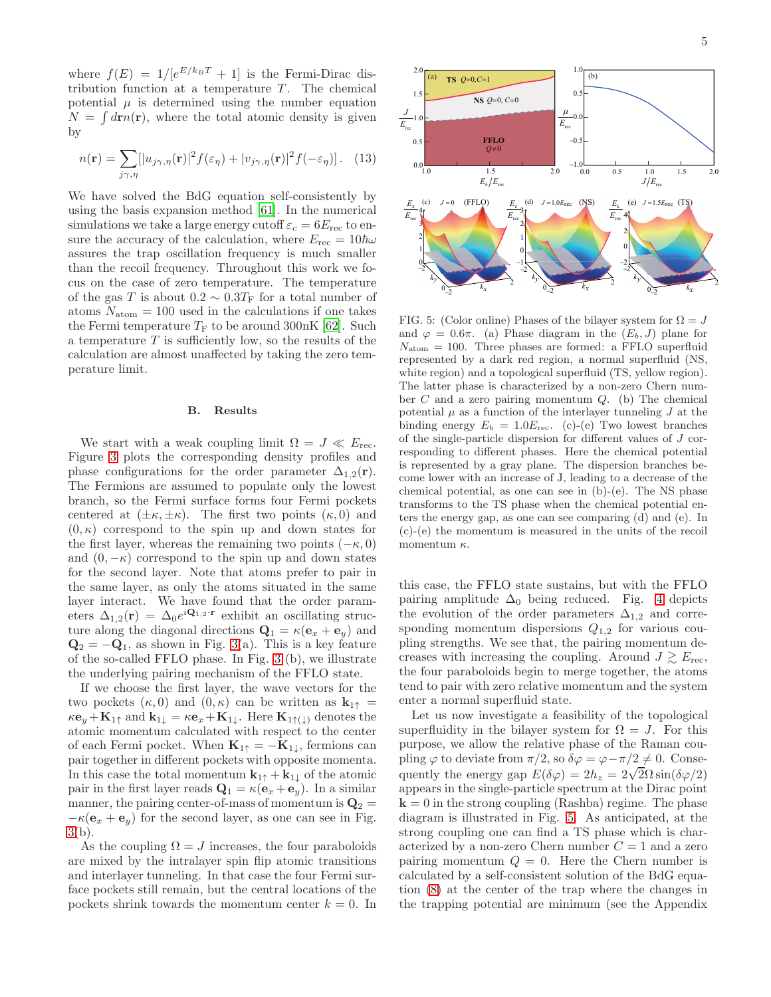where  $f(E) = 1/[e^{E/k_B T} + 1]$  is the Fermi-Dirac distribution function at a temperature  $T$ . The chemical potential  $\mu$  is determined using the number equation  $N = \int d\mathbf{r} n(\mathbf{r})$ , where the total atomic density is given by

$$
n(\mathbf{r}) = \sum_{j\gamma,\eta} [ |u_{j\gamma,\eta}(\mathbf{r})|^2 f(\varepsilon_{\eta}) + |v_{j\gamma,\eta}(\mathbf{r})|^2 f(-\varepsilon_{\eta}) ]. \quad (13)
$$

We have solved the BdG equation self-consistently by using the basis expansion method [\[61](#page-8-12)]. In the numerical simulations we take a large energy cutoff  $\varepsilon_c = 6E_{\text{rec}}$  to ensure the accuracy of the calculation, where  $E_{\text{rec}} = 10\hbar\omega$ assures the trap oscillation frequency is much smaller than the recoil frequency. Throughout this work we focus on the case of zero temperature. The temperature of the gas  $T$  is about  $0.2\sim 0.3 T_{\rm F}$  for a total number of atoms  $N_{\text{atom}} = 100$  used in the calculations if one takes the Fermi temperature  $T_F$  to be around 300nK [\[62\]](#page-8-23). Such a temperature  $T$  is sufficiently low, so the results of the calculation are almost unaffected by taking the zero temperature limit.

#### B. Results

We start with a weak coupling limit  $\Omega = J \ll E_{\text{rec}}$ . Figure [3](#page-2-2) plots the corresponding density profiles and phase configurations for the order parameter  $\Delta_{1,2}(\mathbf{r})$ . The Fermions are assumed to populate only the lowest branch, so the Fermi surface forms four Fermi pockets centered at  $(\pm \kappa, \pm \kappa)$ . The first two points  $(\kappa, 0)$  and  $(0, \kappa)$  correspond to the spin up and down states for the first layer, whereas the remaining two points  $(-\kappa, 0)$ and  $(0, -\kappa)$  correspond to the spin up and down states for the second layer. Note that atoms prefer to pair in the same layer, as only the atoms situated in the same layer interact. We have found that the order parameters  $\Delta_{1,2}(\mathbf{r}) = \Delta_0 e^{i\mathbf{Q}_{1,2}\cdot\mathbf{r}}$  exhibit an oscillating structure along the diagonal directions  $\mathbf{Q}_1 = \kappa(\mathbf{e}_x + \mathbf{e}_y)$  and  $\mathbf{Q}_2 = -\mathbf{Q}_1$ , as shown in Fig. [3\(](#page-2-2)a). This is a key feature of the so-called FFLO phase. In Fig. [3](#page-2-2) (b), we illustrate the underlying pairing mechanism of the FFLO state.

If we choose the first layer, the wave vectors for the two pockets  $(\kappa, 0)$  and  $(0, \kappa)$  can be written as  $\mathbf{k}_{1\uparrow} =$  $\kappa \mathbf{e}_y + \mathbf{K}_{1\uparrow}$  and  $\mathbf{k}_{1\downarrow} = \kappa \mathbf{e}_x + \mathbf{K}_{1\downarrow}$ . Here  $\mathbf{K}_{1\uparrow(\downarrow)}$  denotes the atomic momentum calculated with respect to the center of each Fermi pocket. When  $\mathbf{K}_{1\uparrow} = -\mathbf{K}_{1\downarrow}$ , fermions can pair together in different pockets with opposite momenta. In this case the total momentum  $\mathbf{k}_{1\uparrow} + \mathbf{k}_{1\downarrow}$  of the atomic pair in the first layer reads  $\mathbf{Q}_1 = \kappa(\mathbf{e}_x + \mathbf{e}_y)$ . In a similar manner, the pairing center-of-mass of momentum is  $\mathbf{Q}_2 =$  $-\kappa(\mathbf{e}_x + \mathbf{e}_y)$  for the second layer, as one can see in Fig. [3\(](#page-2-2)b).

As the coupling  $\Omega = J$  increases, the four paraboloids are mixed by the intralayer spin flip atomic transitions and interlayer tunneling. In that case the four Fermi surface pockets still remain, but the central locations of the pockets shrink towards the momentum center  $k = 0$ . In



<span id="page-4-0"></span>FIG. 5: (Color online) Phases of the bilayer system for  $\Omega = J$ and  $\varphi = 0.6\pi$ . (a) Phase diagram in the  $(E_b, J)$  plane for  $N_{\text{atom}} = 100$ . Three phases are formed: a FFLO superfluid represented by a dark red region, a normal superfluid (NS, white region) and a topological superfluid (TS, yellow region). The latter phase is characterized by a non-zero Chern number  $C$  and a zero pairing momentum  $Q$ . (b) The chemical potential  $\mu$  as a function of the interlayer tunneling  $J$  at the binding energy  $E_b = 1.0E_{\text{rec}}$ . (c)-(e) Two lowest branches of the single-particle dispersion for different values of J corresponding to different phases. Here the chemical potential is represented by a gray plane. The dispersion branches become lower with an increase of J, leading to a decrease of the chemical potential, as one can see in (b)-(e). The NS phase transforms to the TS phase when the chemical potential enters the energy gap, as one can see comparing (d) and (e). In (c)-(e) the momentum is measured in the units of the recoil momentum  $\kappa$ .

this case, the FFLO state sustains, but with the FFLO pairing amplitude  $\Delta_0$  being reduced. Fig. [4](#page-3-0) depicts the evolution of the order parameters  $\Delta_{1,2}$  and corresponding momentum dispersions  $Q_{1,2}$  for various coupling strengths. We see that, the pairing momentum decreases with increasing the coupling. Around  $J \gtrsim E_{\text{rec}}$ , the four paraboloids begin to merge together, the atoms tend to pair with zero relative momentum and the system enter a normal superfluid state.

Let us now investigate a feasibility of the topological superfluidity in the bilayer system for  $\Omega = J$ . For this purpose, we allow the relative phase of the Raman coupling  $\varphi$  to deviate from  $\pi/2$ , so  $\delta\varphi = \varphi - \pi/2 \neq 0$ . Consequently the energy gap  $E(\delta \varphi) = 2h_z = 2\sqrt{2}\Omega \sin(\delta \varphi/2)$ appears in the single-particle spectrum at the Dirac point  $k = 0$  in the strong coupling (Rashba) regime. The phase diagram is illustrated in Fig. [5.](#page-4-0) As anticipated, at the strong coupling one can find a TS phase which is characterized by a non-zero Chern number  $C = 1$  and a zero pairing momentum  $Q = 0$ . Here the Chern number is calculated by a self-consistent solution of the BdG equation [\(8\)](#page-3-1) at the center of the trap where the changes in the trapping potential are minimum (see the Appendix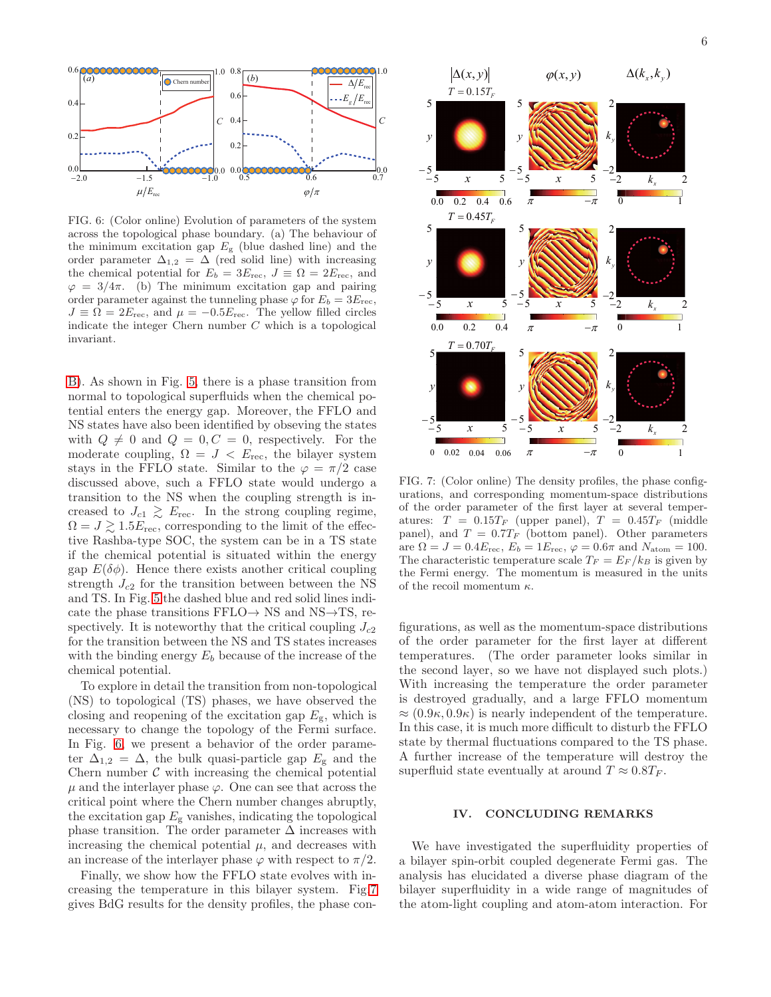

<span id="page-5-0"></span>FIG. 6: (Color online) Evolution of parameters of the system across the topological phase boundary. (a) The behaviour of the minimum excitation gap  $E_{\rm g}$  (blue dashed line) and the order parameter  $\Delta_{1,2} = \Delta$  (red solid line) with increasing the chemical potential for  $E_b = 3E_{\text{rec}}$ ,  $J \equiv \Omega = 2E_{\text{rec}}$ , and  $\varphi = 3/4\pi$ . (b) The minimum excitation gap and pairing order parameter against the tunneling phase  $\varphi$  for  $E_b = 3E_{\text{rec}}$ ,  $J \equiv \Omega = 2E_{\text{rec}}$ , and  $\mu = -0.5E_{\text{rec}}$ . The yellow filled circles indicate the integer Chern number  $C$  which is a topological invariant.

[B\)](#page-6-1). As shown in Fig. [5,](#page-4-0) there is a phase transition from normal to topological superfluids when the chemical potential enters the energy gap. Moreover, the FFLO and NS states have also been identified by obseving the states with  $Q \neq 0$  and  $Q = 0, C = 0$ , respectively. For the moderate coupling,  $\Omega = J \langle E_{\text{rec}} \rangle$ , the bilayer system stays in the FFLO state. Similar to the  $\varphi = \pi/2$  case discussed above, such a FFLO state would undergo a transition to the NS when the coupling strength is increased to  $J_{c1} \gtrsim E_{\text{rec}}$ . In the strong coupling regime,  $\Omega = J \gtrsim 1.5 E_{\text{rec}}$ , corresponding to the limit of the effective Rashba-type SOC, the system can be in a TS state if the chemical potential is situated within the energy gap  $E(\delta \phi)$ . Hence there exists another critical coupling strength  $J_{c2}$  for the transition between between the NS and TS. In Fig. [5](#page-4-0) the dashed blue and red solid lines indicate the phase transitions  $FFLO \rightarrow NS$  and  $NS \rightarrow TS$ , respectively. It is noteworthy that the critical coupling  $J_{c2}$ for the transition between the NS and TS states increases with the binding energy  $E_b$  because of the increase of the chemical potential.

To explore in detail the transition from non-topological (NS) to topological (TS) phases, we have observed the closing and reopening of the excitation gap  $E_{\rm g}$ , which is necessary to change the topology of the Fermi surface. In Fig. [6,](#page-5-0) we present a behavior of the order parameter  $\Delta_{1,2} = \Delta$ , the bulk quasi-particle gap  $E_{\rm g}$  and the Chern number  $\mathcal C$  with increasing the chemical potential  $\mu$  and the interlayer phase  $\varphi$ . One can see that across the critical point where the Chern number changes abruptly, the excitation gap  $E_{\rm g}$  vanishes, indicating the topological phase transition. The order parameter  $\Delta$  increases with increasing the chemical potential  $\mu$ , and decreases with an increase of the interlayer phase  $\varphi$  with respect to  $\pi/2$ .

Finally, we show how the FFLO state evolves with increasing the temperature in this bilayer system. Fig[.7](#page-5-1) gives BdG results for the density profiles, the phase con-



<span id="page-5-1"></span>FIG. 7: (Color online) The density profiles, the phase configurations, and corresponding momentum-space distributions of the order parameter of the first layer at several temperatures:  $T = 0.15T_F$  (upper panel),  $T = 0.45T_F$  (middle panel), and  $T = 0.7T_F$  (bottom panel). Other parameters are  $\Omega = J = 0.4E_{\text{rec}}$ ,  $E_b = 1E_{\text{rec}}$ ,  $\varphi = 0.6\pi$  and  $N_{\text{atom}} = 100$ . The characteristic temperature scale  $T_F = E_F / k_B$  is given by the Fermi energy. The momentum is measured in the units of the recoil momentum  $\kappa$ .

figurations, as well as the momentum-space distributions of the order parameter for the first layer at different temperatures. (The order parameter looks similar in the second layer, so we have not displayed such plots.) With increasing the temperature the order parameter is destroyed gradually, and a large FFLO momentum  $\approx (0.9\kappa, 0.9\kappa)$  is nearly independent of the temperature. In this case, it is much more difficult to disturb the FFLO state by thermal fluctuations compared to the TS phase. A further increase of the temperature will destroy the superfluid state eventually at around  $T \approx 0.8T_F$ .

### IV. CONCLUDING REMARKS

We have investigated the superfluidity properties of a bilayer spin-orbit coupled degenerate Fermi gas. The analysis has elucidated a diverse phase diagram of the bilayer superfluidity in a wide range of magnitudes of the atom-light coupling and atom-atom interaction. For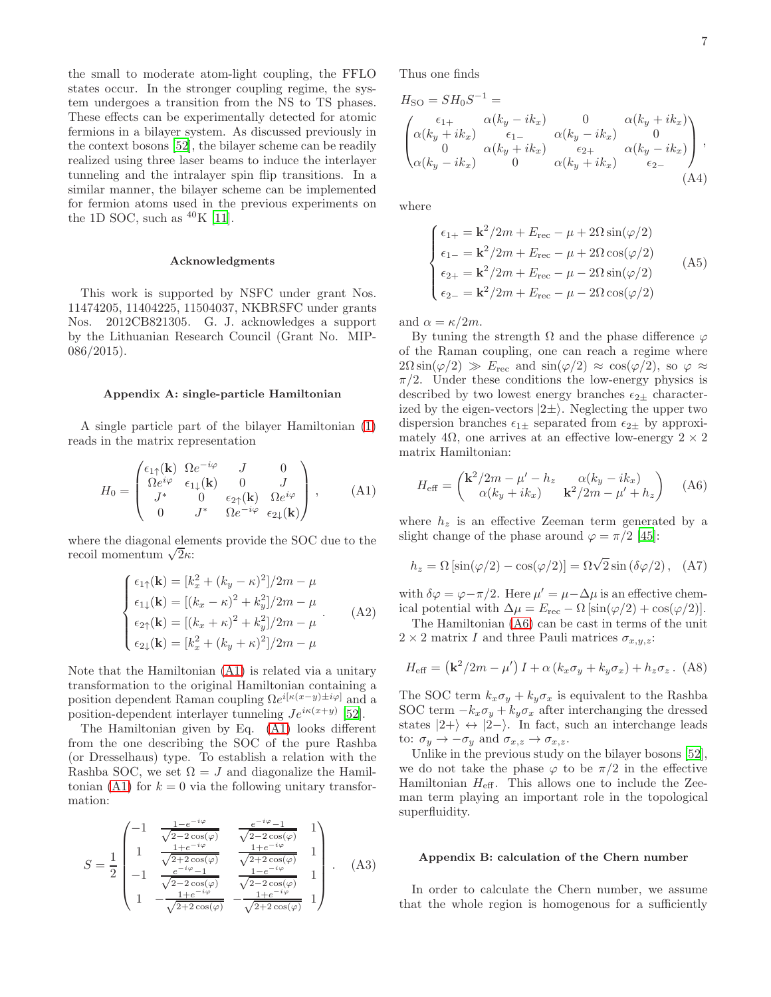the small to moderate atom-light coupling, the FFLO states occur. In the stronger coupling regime, the system undergoes a transition from the NS to TS phases. These effects can be experimentally detected for atomic fermions in a bilayer system. As discussed previously in the context bosons [\[52\]](#page-8-6), the bilayer scheme can be readily realized using three laser beams to induce the interlayer tunneling and the intralayer spin flip transitions. In a similar manner, the bilayer scheme can be implemented for fermion atoms used in the previous experiments on the 1D SOC, such as  ${}^{40}$ K [\[11\]](#page-7-14).

#### Acknowledgments

This work is supported by NSFC under grant Nos. 11474205, 11404225, 11504037, NKBRSFC under grants Nos. 2012CB821305. G. J. acknowledges a support by the Lithuanian Research Council (Grant No. MIP-086/2015).

#### <span id="page-6-0"></span>Appendix A: single-particle Hamiltonian

A single particle part of the bilayer Hamiltonian [\(1\)](#page-1-1) reads in the matrix representation

<span id="page-6-2"></span>
$$
H_0 = \begin{pmatrix} \epsilon_{1\uparrow}(\mathbf{k}) & \Omega e^{-i\varphi} & J & 0\\ \Omega e^{i\varphi} & \epsilon_{1\downarrow}(\mathbf{k}) & 0 & J\\ J^* & 0 & \epsilon_{2\uparrow}(\mathbf{k}) & \Omega e^{i\varphi} \\ 0 & J^* & \Omega e^{-i\varphi} & \epsilon_{2\downarrow}(\mathbf{k}) \end{pmatrix}, \quad (A1)
$$

where the diagonal elements provide the SOC due to the recoil momentum  $\sqrt{2}\kappa$ :

$$
\begin{cases}\n\epsilon_{1\uparrow}(\mathbf{k}) = [k_x^2 + (k_y - \kappa)^2]/2m - \mu \\
\epsilon_{1\downarrow}(\mathbf{k}) = [(k_x - \kappa)^2 + k_y^2]/2m - \mu \\
\epsilon_{2\uparrow}(\mathbf{k}) = [(k_x + \kappa)^2 + k_y^2]/2m - \mu \\
\epsilon_{2\downarrow}(\mathbf{k}) = [k_x^2 + (k_y + \kappa)^2]/2m - \mu\n\end{cases} (A2)
$$

Note that the Hamiltonian [\(A1\)](#page-6-2) is related via a unitary transformation to the original Hamiltonian containing a position dependent Raman coupling  $\Omega e^{i[\kappa(x-y)\pm i\varphi]}$  and a position-dependent interlayer tunneling  $Je^{i\kappa(x+y)}$  [\[52\]](#page-8-6).

The Hamiltonian given by Eq. [\(A1\)](#page-6-2) looks different from the one describing the SOC of the pure Rashba (or Dresselhaus) type. To establish a relation with the Rashba SOC, we set  $\Omega = J$  and diagonalize the Hamil-tonian [\(A1\)](#page-6-2) for  $k = 0$  via the following unitary transformation:

$$
S = \frac{1}{2} \begin{pmatrix} -1 & \frac{1 - e^{-i\varphi}}{\sqrt{2 - 2\cos(\varphi)}} & \frac{e^{-i\varphi} - 1}{\sqrt{2 - 2\cos(\varphi)}} & 1\\ 1 & \frac{1 + e^{-i\varphi}}{\sqrt{2 + 2\cos(\varphi)}} & \frac{1 + e^{-i\varphi}}{\sqrt{2 + 2\cos(\varphi)}} & 1\\ -1 & \frac{e^{-i\varphi} - 1}{\sqrt{2 - 2\cos(\varphi)}} & \frac{1 - e^{-i\varphi}}{\sqrt{2 - 2\cos(\varphi)}} & 1\\ 1 & -\frac{1 + e^{-i\varphi}}{\sqrt{2 + 2\cos(\varphi)}} & -\frac{1 + e^{-i\varphi}}{\sqrt{2 + 2\cos(\varphi)}} & 1 \end{pmatrix} .
$$
 (A3)

Thus one finds

$$
H_{\rm SO} = SH_0 S^{-1} =
$$
  
\n
$$
\begin{pmatrix}\n\epsilon_{1+} & \alpha(k_y - ik_x) & 0 & \alpha(k_y + ik_x) \\
\alpha(k_y + ik_x) & \epsilon_{1-} & \alpha(k_y - ik_x) & 0 \\
0 & \alpha(k_y + ik_x) & \epsilon_{2+} & \alpha(k_y - ik_x) \\
\alpha(k_y - ik_x) & 0 & \alpha(k_y + ik_x) & \epsilon_{2-} \\
\end{pmatrix},
$$
\n(A4)

where

$$
\begin{cases}\n\epsilon_{1+} = \mathbf{k}^2 / 2m + E_{\text{rec}} - \mu + 2\Omega \sin(\varphi/2) \\
\epsilon_{1-} = \mathbf{k}^2 / 2m + E_{\text{rec}} - \mu + 2\Omega \cos(\varphi/2) \\
\epsilon_{2+} = \mathbf{k}^2 / 2m + E_{\text{rec}} - \mu - 2\Omega \sin(\varphi/2) \\
\epsilon_{2-} = \mathbf{k}^2 / 2m + E_{\text{rec}} - \mu - 2\Omega \cos(\varphi/2)\n\end{cases} (A5)
$$

and  $\alpha = \kappa/2m$ .

By tuning the strength Ω and the phase difference  $\varphi$ of the Raman coupling, one can reach a regime where  $2\Omega \sin(\varphi/2) \gg E_{\text{rec}}$  and  $\sin(\varphi/2) \approx \cos(\varphi/2)$ , so  $\varphi \approx$  $\pi/2$ . Under these conditions the low-energy physics is described by two lowest energy branches  $\epsilon_{2\pm}$  characterized by the eigen-vectors  $|2\pm\rangle$ . Neglecting the upper two dispersion branches  $\epsilon_{1\pm}$  separated from  $\epsilon_{2\pm}$  by approximately 4 $\Omega$ , one arrives at an effective low-energy  $2 \times 2$ matrix Hamiltonian:

<span id="page-6-3"></span>
$$
H_{\text{eff}} = \begin{pmatrix} \mathbf{k}^2/2m - \mu' - h_z & \alpha(k_y - ik_x) \\ \alpha(k_y + ik_x) & \mathbf{k}^2/2m - \mu' + h_z \end{pmatrix} \quad (A6)
$$

where  $h<sub>z</sub>$  is an effective Zeeman term generated by a slight change of the phase around  $\varphi = \pi/2$  [\[45\]](#page-8-7):

$$
h_z = \Omega \left[ \sin(\varphi/2) - \cos(\varphi/2) \right] = \Omega \sqrt{2} \sin(\delta \varphi/2), \quad \text{(A7)}
$$

with  $\delta\varphi = \varphi - \pi/2$ . Here  $\mu' = \mu - \Delta\mu$  is an effective chemical potential with  $\Delta \mu = E_{\text{rec}} - \Omega \left[\sin(\varphi/2) + \cos(\varphi/2)\right]$ .

The Hamiltonian [\(A6\)](#page-6-3) can be cast in terms of the unit  $2 \times 2$  matrix I and three Pauli matrices  $\sigma_{x,y,z}$ :

$$
H_{\text{eff}} = \left(\mathbf{k}^2/2m - \mu'\right)I + \alpha\left(k_x\sigma_y + k_y\sigma_x\right) + h_z\sigma_z. \tag{A8}
$$

The SOC term  $k_x \sigma_y + k_y \sigma_x$  is equivalent to the Rashba SOC term  $-k_x \sigma_y + k_y \sigma_x$  after interchanging the dressed states  $|2+\rangle \leftrightarrow |2-\rangle$ . In fact, such an interchange leads to:  $\sigma_y \rightarrow -\sigma_y$  and  $\sigma_{x,z} \rightarrow \sigma_{x,z}$ .

Unlike in the previous study on the bilayer bosons [\[52\]](#page-8-6), we do not take the phase  $\varphi$  to be  $\pi/2$  in the effective Hamiltonian  $H_{\text{eff}}$ . This allows one to include the Zeeman term playing an important role in the topological superfluidity.

#### <span id="page-6-1"></span>Appendix B: calculation of the Chern number

In order to calculate the Chern number, we assume that the whole region is homogenous for a sufficiently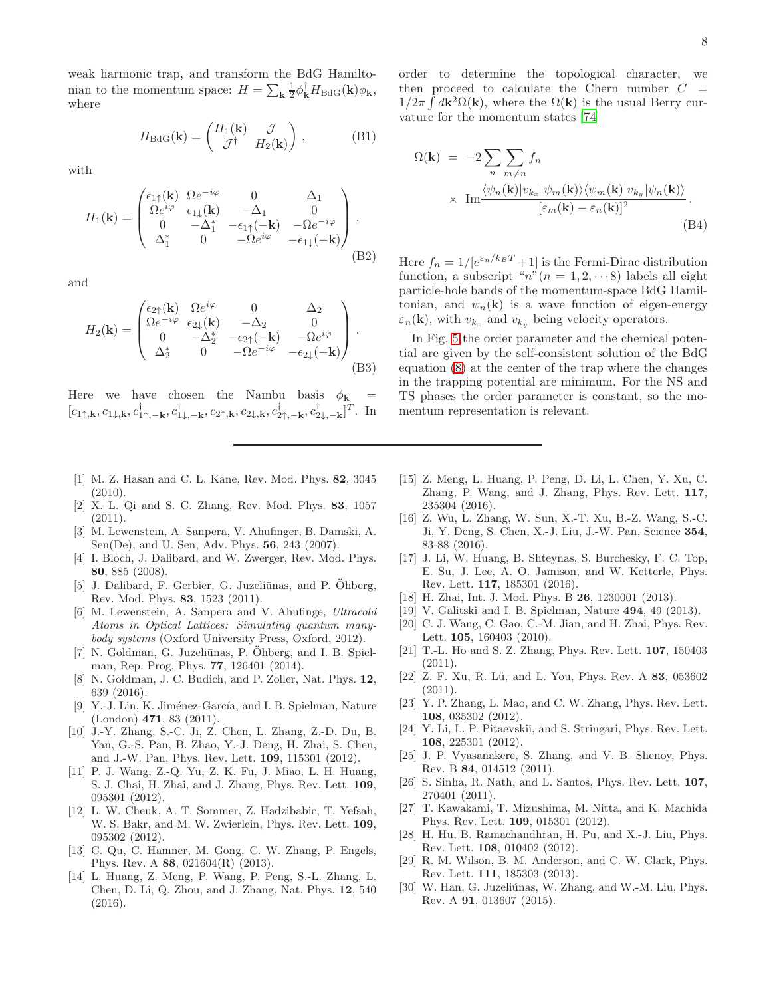weak harmonic trap, and transform the BdG Hamiltonian to the momentum space:  $H = \sum_{\mathbf{k}} \frac{1}{2} \phi_{\mathbf{k}}^{\dagger} H_{\text{BdG}}(\mathbf{k}) \phi_{\mathbf{k}},$ where

$$
H_{\text{BdG}}(\mathbf{k}) = \begin{pmatrix} H_1(\mathbf{k}) & \mathcal{J} \\ \mathcal{J}^{\dagger} & H_2(\mathbf{k}) \end{pmatrix}, \tag{B1}
$$

with

$$
H_1(\mathbf{k}) = \begin{pmatrix} \epsilon_{1\uparrow}(\mathbf{k}) & \Omega e^{-i\varphi} & 0 & \Delta_1 \\ \Omega e^{i\varphi} & \epsilon_{1\downarrow}(\mathbf{k}) & -\Delta_1 & 0 \\ 0 & -\Delta_1^* & -\epsilon_{1\uparrow}(-\mathbf{k}) & -\Omega e^{-i\varphi} \\ \Delta_1^* & 0 & -\Omega e^{i\varphi} & -\epsilon_{1\downarrow}(-\mathbf{k}) \end{pmatrix},
$$
(B2)

and

$$
H_2(\mathbf{k}) = \begin{pmatrix} \epsilon_{2\uparrow}(\mathbf{k}) & \Omega e^{i\varphi} & 0 & \Delta_2 \\ \Omega e^{-i\varphi} & \epsilon_{2\downarrow}(\mathbf{k}) & -\Delta_2 & 0 \\ 0 & -\Delta_2^* & -\epsilon_{2\uparrow}(-\mathbf{k}) & -\Omega e^{i\varphi} \\ \Delta_2^* & 0 & -\Omega e^{-i\varphi} & -\epsilon_{2\downarrow}(-\mathbf{k}) \end{pmatrix}.
$$
(B3)

Here we have chosen the Nambu basis  $\phi_{\mathbf{k}}$  $[c_{1\uparrow,\mathbf{k}},c_{1\downarrow,\mathbf{k}},c^{\dagger}_{1\uparrow,-\mathbf{k}},c^{\dagger}_{1\downarrow,-\mathbf{k}},c_{2\uparrow,\mathbf{k}},c_{2\downarrow,\mathbf{k}},c^{\dagger}_{2\uparrow,-\mathbf{k}},c^{\dagger}_{2\downarrow,-\mathbf{k}}]^T$ . In

- <span id="page-7-0"></span>[1] M. Z. Hasan and C. L. Kane, Rev. Mod. Phys. 82, 3045 (2010).
- <span id="page-7-1"></span>[2] X. L. Qi and S. C. Zhang, Rev. Mod. Phys. 83, 1057  $(2011).$
- <span id="page-7-2"></span>[3] M. Lewenstein, A. Sanpera, V. Ahufinger, B. Damski, A. Sen(De), and U. Sen, Adv. Phys. 56, 243 (2007).
- [4] I. Bloch, J. Dalibard, and W. Zwerger, Rev. Mod. Phys. 80, 885 (2008).
- [5] J. Dalibard, F. Gerbier, G. Juzeliūnas, and P. Öhberg, Rev. Mod. Phys. 83, 1523 (2011).
- [6] M. Lewenstein, A. Sanpera and V. Ahufinge, *Ultracold Atoms in Optical Lattices: Simulating quantum manybody systems* (Oxford University Press, Oxford, 2012).
- <span id="page-7-6"></span>[7] N. Goldman, G. Juzeliūnas, P. Öhberg, and I. B. Spielman, Rep. Prog. Phys. 77, 126401 (2014).
- <span id="page-7-3"></span>[8] N. Goldman, J. C. Budich, and P. Zoller, Nat. Phys. 12, 639 (2016).
- <span id="page-7-4"></span>[9] Y.-J. Lin, K. Jiménez-García, and I. B. Spielman, Nature (London) 471, 83 (2011).
- [10] J.-Y. Zhang, S.-C. Ji, Z. Chen, L. Zhang, Z.-D. Du, B. Yan, G.-S. Pan, B. Zhao, Y.-J. Deng, H. Zhai, S. Chen, and J.-W. Pan, Phys. Rev. Lett. 109, 115301 (2012).
- <span id="page-7-14"></span>[11] P. J. Wang, Z.-Q. Yu, Z. K. Fu, J. Miao, L. H. Huang, S. J. Chai, H. Zhai, and J. Zhang, Phys. Rev. Lett. 109, 095301 (2012).
- [12] L. W. Cheuk, A. T. Sommer, Z. Hadzibabic, T. Yefsah, W. S. Bakr, and M. W. Zwierlein, Phys. Rev. Lett. 109, 095302 (2012).
- <span id="page-7-10"></span>[13] C. Qu, C. Hamner, M. Gong, C. W. Zhang, P. Engels, Phys. Rev. A 88, 021604(R) (2013).
- <span id="page-7-11"></span>[14] L. Huang, Z. Meng, P. Wang, P. Peng, S.-L. Zhang, L. Chen, D. Li, Q. Zhou, and J. Zhang, Nat. Phys. 12, 540 (2016).

order to determine the topological character, we then proceed to calculate the Chern number  $C =$  $1/2\pi \int d\mathbf{k}^2 \Omega(\mathbf{k})$ , where the  $\Omega(\mathbf{k})$  is the usual Berry curvature for the momentum states [\[74\]](#page-8-24)

$$
\Omega(\mathbf{k}) = -2 \sum_{n} \sum_{m \neq n} f_n
$$
  
 
$$
\times \operatorname{Im} \frac{\langle \psi_n(\mathbf{k}) | v_{k_x} | \psi_m(\mathbf{k}) \rangle \langle \psi_m(\mathbf{k}) | v_{k_y} | \psi_n(\mathbf{k}) \rangle}{[\varepsilon_m(\mathbf{k}) - \varepsilon_n(\mathbf{k})]^2}.
$$
 (B4)

Here  $f_n = 1/[e^{\varepsilon_n/k_B T} + 1]$  is the Fermi-Dirac distribution function, a subscript " $n$ " $(n = 1, 2, \cdots 8)$  labels all eight particle-hole bands of the momentum-space BdG Hamiltonian, and  $\psi_n(\mathbf{k})$  is a wave function of eigen-energy  $\varepsilon_n(\mathbf{k})$ , with  $v_{k_x}$  and  $v_{k_y}$  being velocity operators.

In Fig. [5](#page-4-0) the order parameter and the chemical potential are given by the self-consistent solution of the BdG equation [\(8\)](#page-3-1) at the center of the trap where the changes in the trapping potential are minimum. For the NS and TS phases the order parameter is constant, so the momentum representation is relevant.

- <span id="page-7-13"></span>[15] Z. Meng, L. Huang, P. Peng, D. Li, L. Chen, Y. Xu, C. Zhang, P. Wang, and J. Zhang, Phys. Rev. Lett. 117, 235304 (2016).
- <span id="page-7-12"></span>[16] Z. Wu, L. Zhang, W. Sun, X.-T. Xu, B.-Z. Wang, S.-C. Ji, Y. Deng, S. Chen, X.-J. Liu, J.-W. Pan, Science 354, 83-88 (2016).
- <span id="page-7-5"></span>[17] J. Li, W. Huang, B. Shteynas, S. Burchesky, F. C. Top, E. Su, J. Lee, A. O. Jamison, and W. Ketterle, Phys. Rev. Lett. 117, 185301 (2016).
- <span id="page-7-7"></span>[18] H. Zhai, Int. J. Mod. Phys. B 26, 1230001 (2013).
- <span id="page-7-8"></span>[19] V. Galitski and I. B. Spielman, Nature **494**, 49 (2013).
- <span id="page-7-9"></span>[20] C. J. Wang, C. Gao, C.-M. Jian, and H. Zhai, Phys. Rev. Lett. **105**, 160403 (2010).
- [21] T.-L. Ho and S. Z. Zhang, Phys. Rev. Lett. 107, 150403 (2011).
- [22] Z. F. Xu, R. Lü, and L. You, Phys. Rev. A 83, 053602 (2011).
- [23] Y. P. Zhang, L. Mao, and C. W. Zhang, Phys. Rev. Lett. 108, 035302 (2012).
- [24] Y. Li, L. P. Pitaevskii, and S. Stringari, Phys. Rev. Lett. 108, 225301 (2012).
- [25] J. P. Vyasanakere, S. Zhang, and V. B. Shenoy, Phys. Rev. B 84, 014512 (2011).
- [26] S. Sinha, R. Nath, and L. Santos, Phys. Rev. Lett. 107, 270401 (2011).
- [27] T. Kawakami, T. Mizushima, M. Nitta, and K. Machida Phys. Rev. Lett. 109, 015301 (2012).
- [28] H. Hu, B. Ramachandhran, H. Pu, and X.-J. Liu, Phys. Rev. Lett. 108, 010402 (2012).
- [29] R. M. Wilson, B. M. Anderson, and C. W. Clark, Phys. Rev. Lett. 111, 185303 (2013).
- [30] W. Han, G. Juzeliúnas, W. Zhang, and W.-M. Liu, Phys. Rev. A 91, 013607 (2015).